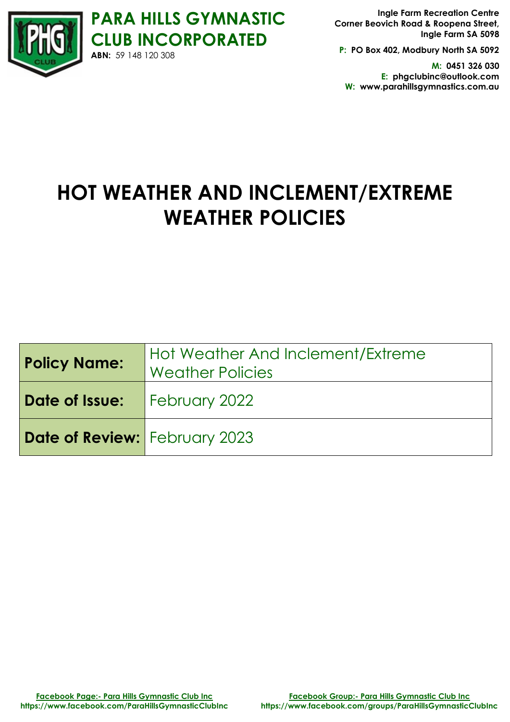

**PARA HILLS GYMNASTIC CLUB INCORPORATED Ingle Farm Recreation Centre Corner Beovich Road & Roopena Street,**

**P: PO Box 402, Modbury North SA 5092**

**Ingle Farm SA 5098**

**M: 0451 326 030 E: phgclubinc@outlook.com W: www.parahillsgymnastics.com.au**

# **HOT WEATHER AND INCLEMENT/EXTREME WEATHER POLICIES**

| <b>Policy Name:</b>                  | Hot Weather And Inclement/Extreme<br><b>Weather Policies</b> |
|--------------------------------------|--------------------------------------------------------------|
| <b>Date of Issue:</b> February 2022  |                                                              |
| <b>Date of Review:</b> February 2023 |                                                              |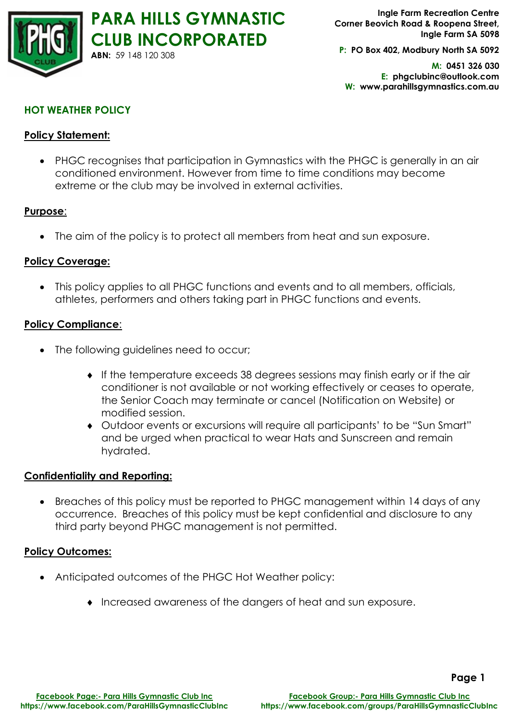

**Ingle Farm Recreation Centre Corner Beovich Road & Roopena Street, Ingle Farm SA 5098**

**P: PO Box 402, Modbury North SA 5092**

**M: 0451 326 030 E: phgclubinc@outlook.com W: www.parahillsgymnastics.com.au**

# **HOT WEATHER POLICY**

## **Policy Statement:**

• PHGC recognises that participation in Gymnastics with the PHGC is generally in an air conditioned environment. However from time to time conditions may become extreme or the club may be involved in external activities.

#### **Purpose**:

• The aim of the policy is to protect all members from heat and sun exposure.

#### **Policy Coverage:**

• This policy applies to all PHGC functions and events and to all members, officials, athletes, performers and others taking part in PHGC functions and events.

#### **Policy Compliance**:

- The following guidelines need to occur;
	- If the temperature exceeds 38 degrees sessions may finish early or if the air conditioner is not available or not working effectively or ceases to operate, the Senior Coach may terminate or cancel (Notification on Website) or modified session.
	- Outdoor events or excursions will require all participants' to be "Sun Smart" and be urged when practical to wear Hats and Sunscreen and remain hydrated.

#### **Confidentiality and Reporting:**

• Breaches of this policy must be reported to PHGC management within 14 days of any occurrence. Breaches of this policy must be kept confidential and disclosure to any third party beyond PHGC management is not permitted.

#### **Policy Outcomes:**

- Anticipated outcomes of the PHGC Hot Weather policy:
	- Increased awareness of the dangers of heat and sun exposure.